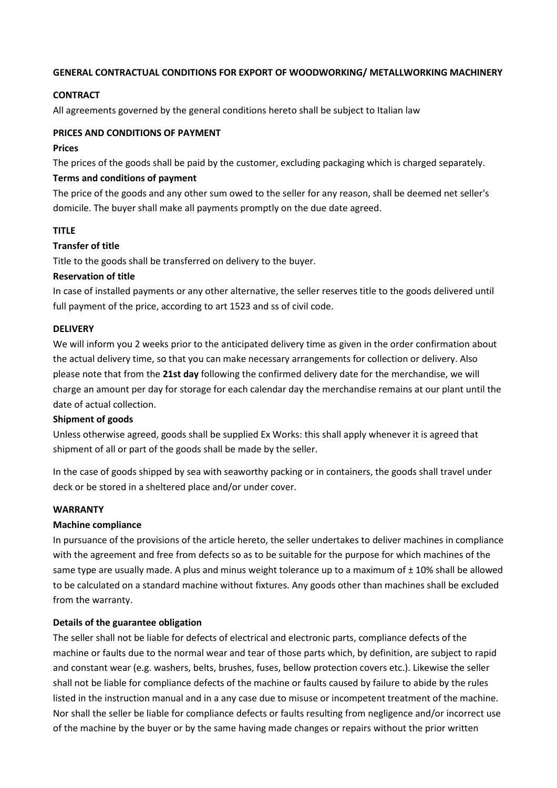### **GENERAL CONTRACTUAL CONDITIONS FOR EXPORT OF WOODWORKING/ METALLWORKING MACHINERY**

## **CONTRACT**

All agreements governed by the general conditions hereto shall be subject to Italian law

## **PRICES AND CONDITIONS OF PAYMENT**

### **Prices**

The prices of the goods shall be paid by the customer, excluding packaging which is charged separately.

## **Terms and conditions of payment**

The price of the goods and any other sum owed to the seller for any reason, shall be deemed net seller's domicile. The buyer shall make all payments promptly on the due date agreed.

# **TITLE**

## **Transfer of title**

Title to the goods shall be transferred on delivery to the buyer.

## **Reservation of title**

In case of installed payments or any other alternative, the seller reserves title to the goods delivered until full payment of the price, according to art 1523 and ss of civil code.

## **DELIVERY**

We will inform you 2 weeks prior to the anticipated delivery time as given in the order confirmation about the actual delivery time, so that you can make necessary arrangements for collection or delivery. Also please note that from the **21st day** following the confirmed delivery date for the merchandise, we will charge an amount per day for storage for each calendar day the merchandise remains at our plant until the date of actual collection.

#### **Shipment of goods**

Unless otherwise agreed, goods shall be supplied Ex Works: this shall apply whenever it is agreed that shipment of all or part of the goods shall be made by the seller.

In the case of goods shipped by sea with seaworthy packing or in containers, the goods shall travel under deck or be stored in a sheltered place and/or under cover.

# **WARRANTY**

#### **Machine compliance**

In pursuance of the provisions of the article hereto, the seller undertakes to deliver machines in compliance with the agreement and free from defects so as to be suitable for the purpose for which machines of the same type are usually made. A plus and minus weight tolerance up to a maximum of  $\pm$  10% shall be allowed to be calculated on a standard machine without fixtures. Any goods other than machines shall be excluded from the warranty.

#### **Details of the guarantee obligation**

The seller shall not be liable for defects of electrical and electronic parts, compliance defects of the machine or faults due to the normal wear and tear of those parts which, by definition, are subject to rapid and constant wear (e.g. washers, belts, brushes, fuses, bellow protection covers etc.). Likewise the seller shall not be liable for compliance defects of the machine or faults caused by failure to abide by the rules listed in the instruction manual and in a any case due to misuse or incompetent treatment of the machine. Nor shall the seller be liable for compliance defects or faults resulting from negligence and/or incorrect use of the machine by the buyer or by the same having made changes or repairs without the prior written